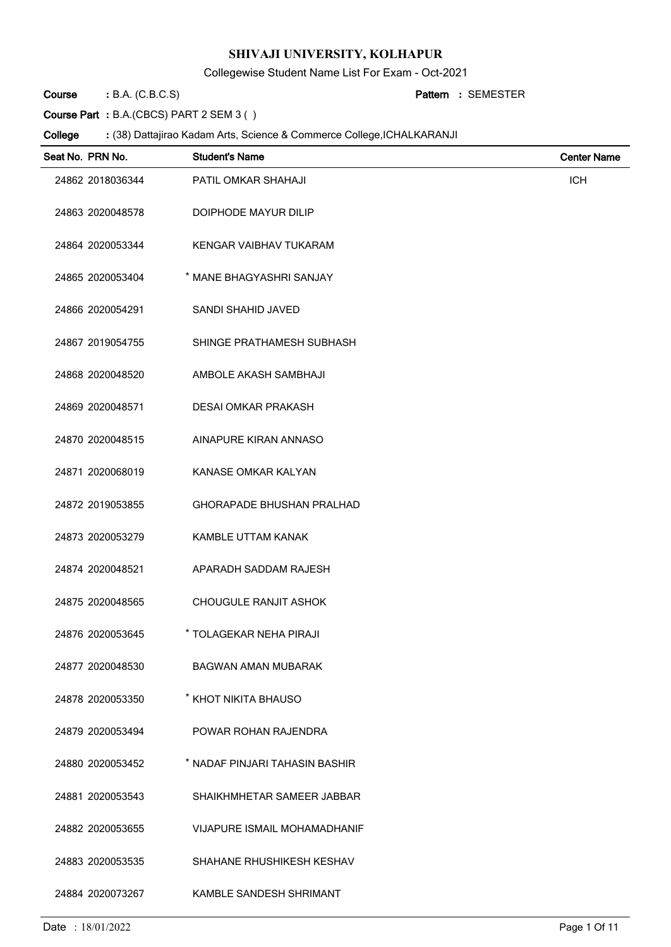Collegewise Student Name List For Exam - Oct-2021

B.A. (C.B.C.S) **: Pattern Course**

SEMESTER **:**

**Course Part :** B.A.(CBCS) PART 2 SEM 3 ( )

| Seat No. PRN No. | <b>Student's Name</b>               | <b>Center Name</b> |
|------------------|-------------------------------------|--------------------|
| 24862 2018036344 | PATIL OMKAR SHAHAJI                 | <b>ICH</b>         |
| 24863 2020048578 | DOIPHODE MAYUR DILIP                |                    |
| 24864 2020053344 | KENGAR VAIBHAV TUKARAM              |                    |
| 24865 2020053404 | * MANE BHAGYASHRI SANJAY            |                    |
| 24866 2020054291 | <b>SANDI SHAHID JAVED</b>           |                    |
| 24867 2019054755 | SHINGE PRATHAMESH SUBHASH           |                    |
| 24868 2020048520 | AMBOLE AKASH SAMBHAJI               |                    |
| 24869 2020048571 | <b>DESAI OMKAR PRAKASH</b>          |                    |
| 24870 2020048515 | AINAPURE KIRAN ANNASO               |                    |
| 24871 2020068019 | KANASE OMKAR KALYAN                 |                    |
| 24872 2019053855 | <b>GHORAPADE BHUSHAN PRALHAD</b>    |                    |
| 24873 2020053279 | KAMBLE UTTAM KANAK                  |                    |
| 24874 2020048521 | APARADH SADDAM RAJESH               |                    |
| 24875 2020048565 | <b>CHOUGULE RANJIT ASHOK</b>        |                    |
| 24876 2020053645 | * TOLAGEKAR NEHA PIRAJI             |                    |
| 24877 2020048530 | <b>BAGWAN AMAN MUBARAK</b>          |                    |
| 24878 2020053350 | * KHOT NIKITA BHAUSO                |                    |
| 24879 2020053494 | POWAR ROHAN RAJENDRA                |                    |
| 24880 2020053452 | * NADAF PINJARI TAHASIN BASHIR      |                    |
| 24881 2020053543 | SHAIKHMHETAR SAMEER JABBAR          |                    |
| 24882 2020053655 | <b>VIJAPURE ISMAIL MOHAMADHANIF</b> |                    |
| 24883 2020053535 | SHAHANE RHUSHIKESH KESHAV           |                    |
| 24884 2020073267 | KAMBLE SANDESH SHRIMANT             |                    |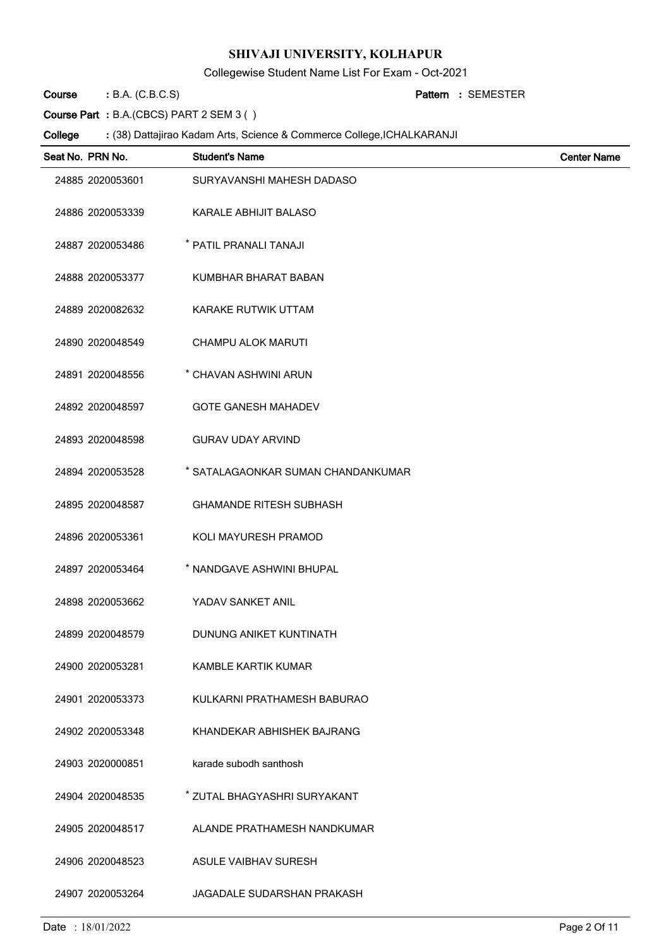Collegewise Student Name List For Exam - Oct-2021

B.A. (C.B.C.S) **: Pattern Course**

SEMESTER **:**

**Course Part :** B.A.(CBCS) PART 2 SEM 3 ( )

| Seat No. PRN No. | <b>Student's Name</b>              | <b>Center Name</b> |
|------------------|------------------------------------|--------------------|
| 24885 2020053601 | SURYAVANSHI MAHESH DADASO          |                    |
| 24886 2020053339 | KARALE ABHIJIT BALASO              |                    |
| 24887 2020053486 | * PATIL PRANALI TANAJI             |                    |
| 24888 2020053377 | KUMBHAR BHARAT BABAN               |                    |
| 24889 2020082632 | KARAKE RUTWIK UTTAM                |                    |
| 24890 2020048549 | CHAMPU ALOK MARUTI                 |                    |
| 24891 2020048556 | * CHAVAN ASHWINI ARUN              |                    |
| 24892 2020048597 | <b>GOTE GANESH MAHADEV</b>         |                    |
| 24893 2020048598 | <b>GURAV UDAY ARVIND</b>           |                    |
| 24894 2020053528 | * SATALAGAONKAR SUMAN CHANDANKUMAR |                    |
| 24895 2020048587 | <b>GHAMANDE RITESH SUBHASH</b>     |                    |
| 24896 2020053361 | KOLI MAYURESH PRAMOD               |                    |
| 24897 2020053464 | * NANDGAVE ASHWINI BHUPAL          |                    |
| 24898 2020053662 | YADAV SANKET ANIL                  |                    |
| 24899 2020048579 | DUNUNG ANIKET KUNTINATH            |                    |
| 24900 2020053281 | KAMBLE KARTIK KUMAR                |                    |
| 24901 2020053373 | KULKARNI PRATHAMESH BABURAO        |                    |
| 24902 2020053348 | KHANDEKAR ABHISHEK BAJRANG         |                    |
| 24903 2020000851 | karade subodh santhosh             |                    |
| 24904 2020048535 | * ZUTAL BHAGYASHRI SURYAKANT       |                    |
| 24905 2020048517 | ALANDE PRATHAMESH NANDKUMAR        |                    |
| 24906 2020048523 | ASULE VAIBHAV SURESH               |                    |
| 24907 2020053264 | <b>JAGADALE SUDARSHAN PRAKASH</b>  |                    |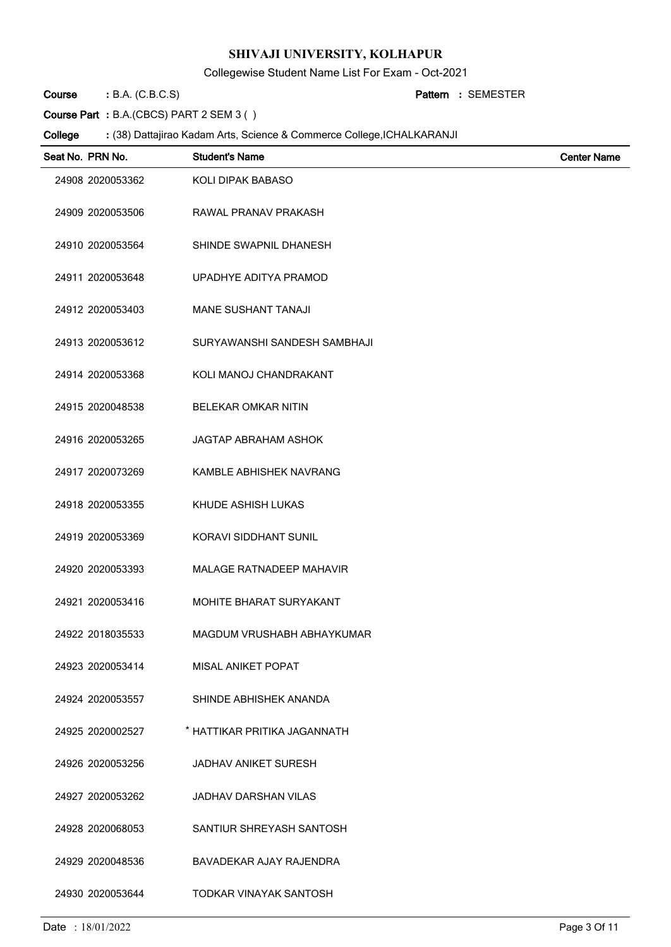Collegewise Student Name List For Exam - Oct-2021

B.A. (C.B.C.S) **: Pattern Course**

SEMESTER **:**

**Course Part :** B.A.(CBCS) PART 2 SEM 3 ( )

| Seat No. PRN No. | <b>Student's Name</b>           | <b>Center Name</b> |
|------------------|---------------------------------|--------------------|
| 24908 2020053362 | KOLI DIPAK BABASO               |                    |
| 24909 2020053506 | RAWAL PRANAV PRAKASH            |                    |
| 24910 2020053564 | SHINDE SWAPNIL DHANESH          |                    |
| 24911 2020053648 | UPADHYE ADITYA PRAMOD           |                    |
| 24912 2020053403 | MANE SUSHANT TANAJI             |                    |
| 24913 2020053612 | SURYAWANSHI SANDESH SAMBHAJI    |                    |
| 24914 2020053368 | KOLI MANOJ CHANDRAKANT          |                    |
| 24915 2020048538 | <b>BELEKAR OMKAR NITIN</b>      |                    |
| 24916 2020053265 | <b>JAGTAP ABRAHAM ASHOK</b>     |                    |
| 24917 2020073269 | KAMBLE ABHISHEK NAVRANG         |                    |
| 24918 2020053355 | KHUDE ASHISH LUKAS              |                    |
| 24919 2020053369 | KORAVI SIDDHANT SUNIL           |                    |
| 24920 2020053393 | <b>MALAGE RATNADEEP MAHAVIR</b> |                    |
| 24921 2020053416 | MOHITE BHARAT SURYAKANT         |                    |
| 24922 2018035533 | MAGDUM VRUSHABH ABHAYKUMAR      |                    |
| 24923 2020053414 | <b>MISAL ANIKET POPAT</b>       |                    |
| 24924 2020053557 | SHINDE ABHISHEK ANANDA          |                    |
| 24925 2020002527 | * HATTIKAR PRITIKA JAGANNATH    |                    |
| 24926 2020053256 | JADHAV ANIKET SURESH            |                    |
| 24927 2020053262 | <b>JADHAV DARSHAN VILAS</b>     |                    |
| 24928 2020068053 | SANTIUR SHREYASH SANTOSH        |                    |
| 24929 2020048536 | BAVADEKAR AJAY RAJENDRA         |                    |
| 24930 2020053644 | TODKAR VINAYAK SANTOSH          |                    |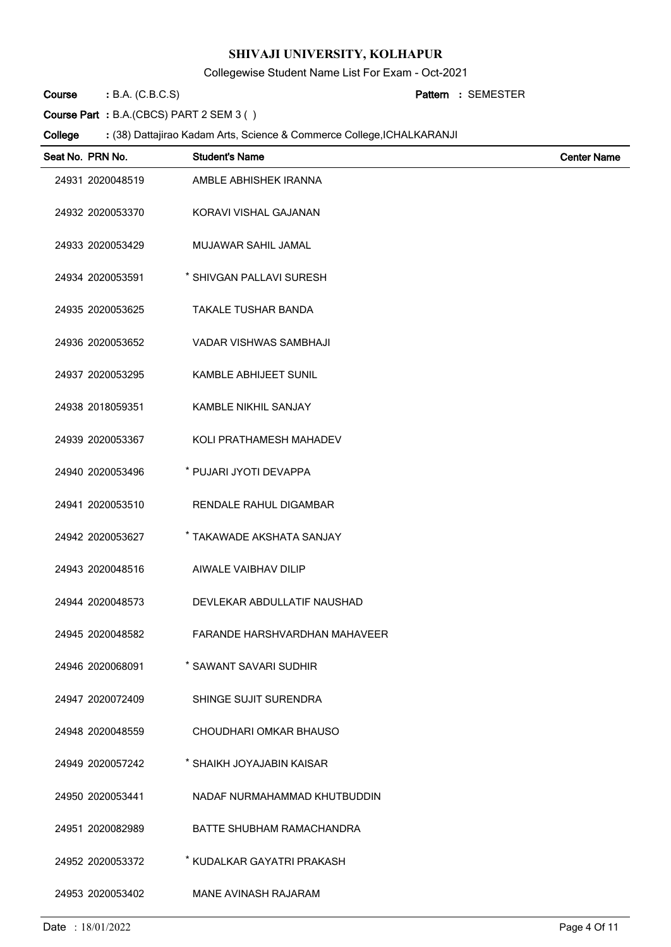Collegewise Student Name List For Exam - Oct-2021

B.A. (C.B.C.S) **: Pattern Course**

SEMESTER **:**

**Course Part :** B.A.(CBCS) PART 2 SEM 3 ( )

| Seat No. PRN No. | <b>Student's Name</b>                | <b>Center Name</b> |
|------------------|--------------------------------------|--------------------|
| 24931 2020048519 | AMBLE ABHISHEK IRANNA                |                    |
| 24932 2020053370 | KORAVI VISHAL GAJANAN                |                    |
| 24933 2020053429 | MUJAWAR SAHIL JAMAL                  |                    |
| 24934 2020053591 | * SHIVGAN PALLAVI SURESH             |                    |
| 24935 2020053625 | <b>TAKALE TUSHAR BANDA</b>           |                    |
| 24936 2020053652 | <b>VADAR VISHWAS SAMBHAJI</b>        |                    |
| 24937 2020053295 | <b>KAMBLE ABHIJEET SUNIL</b>         |                    |
| 24938 2018059351 | <b>KAMBLE NIKHIL SANJAY</b>          |                    |
| 24939 2020053367 | KOLI PRATHAMESH MAHADEV              |                    |
| 24940 2020053496 | * PUJARI JYOTI DEVAPPA               |                    |
| 24941 2020053510 | RENDALE RAHUL DIGAMBAR               |                    |
| 24942 2020053627 | * TAKAWADE AKSHATA SANJAY            |                    |
| 24943 2020048516 | AIWALE VAIBHAV DILIP                 |                    |
| 24944 2020048573 | DEVLEKAR ABDULLATIF NAUSHAD          |                    |
| 24945 2020048582 | <b>FARANDE HARSHVARDHAN MAHAVEER</b> |                    |
| 24946 2020068091 | * SAWANT SAVARI SUDHIR               |                    |
| 24947 2020072409 | SHINGE SUJIT SURENDRA                |                    |
| 24948 2020048559 | CHOUDHARI OMKAR BHAUSO               |                    |
| 24949 2020057242 | * SHAIKH JOYAJABIN KAISAR            |                    |
| 24950 2020053441 | NADAF NURMAHAMMAD KHUTBUDDIN         |                    |
| 24951 2020082989 | <b>BATTE SHUBHAM RAMACHANDRA</b>     |                    |
| 24952 2020053372 | * KUDALKAR GAYATRI PRAKASH           |                    |
| 24953 2020053402 | MANE AVINASH RAJARAM                 |                    |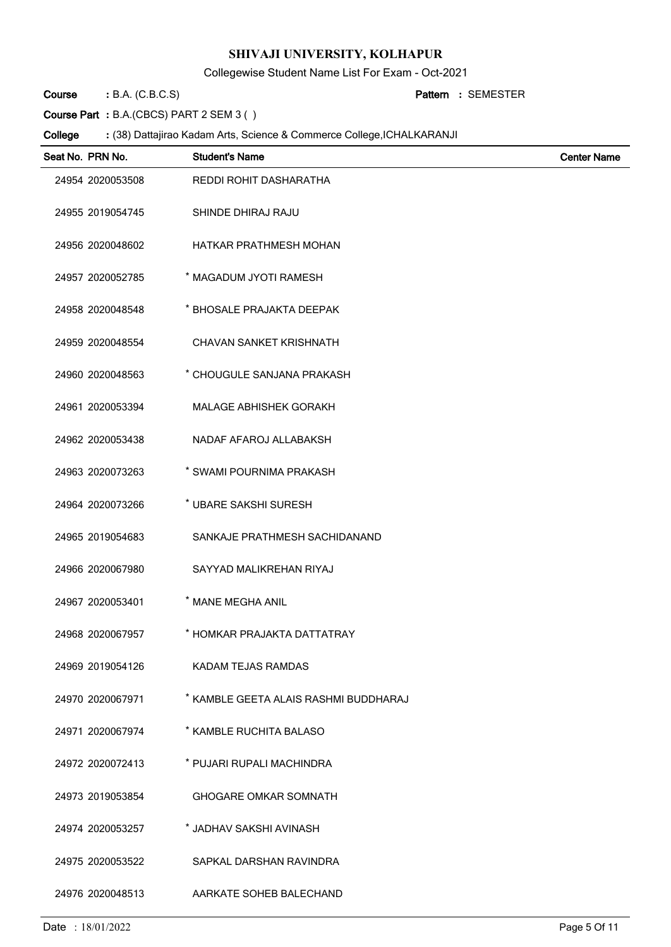Collegewise Student Name List For Exam - Oct-2021

B.A. (C.B.C.S) **: Pattern Course**

SEMESTER **:**

**Course Part :** B.A.(CBCS) PART 2 SEM 3 ( )

| Seat No. PRN No. | <b>Student's Name</b>                 | <b>Center Name</b> |
|------------------|---------------------------------------|--------------------|
| 24954 2020053508 | REDDI ROHIT DASHARATHA                |                    |
| 24955 2019054745 | SHINDE DHIRAJ RAJU                    |                    |
| 24956 2020048602 | HATKAR PRATHMESH MOHAN                |                    |
| 24957 2020052785 | * MAGADUM JYOTI RAMESH                |                    |
| 24958 2020048548 | * BHOSALE PRAJAKTA DEEPAK             |                    |
| 24959 2020048554 | <b>CHAVAN SANKET KRISHNATH</b>        |                    |
| 24960 2020048563 | * CHOUGULE SANJANA PRAKASH            |                    |
| 24961 2020053394 | <b>MALAGE ABHISHEK GORAKH</b>         |                    |
| 24962 2020053438 | NADAF AFAROJ ALLABAKSH                |                    |
| 24963 2020073263 | * SWAMI POURNIMA PRAKASH              |                    |
| 24964 2020073266 | * UBARE SAKSHI SURESH                 |                    |
| 24965 2019054683 | SANKAJE PRATHMESH SACHIDANAND         |                    |
| 24966 2020067980 | SAYYAD MALIKREHAN RIYAJ               |                    |
| 24967 2020053401 | * MANE MEGHA ANIL                     |                    |
| 24968 2020067957 | * HOMKAR PRAJAKTA DATTATRAY           |                    |
| 24969 2019054126 | KADAM TEJAS RAMDAS                    |                    |
| 24970 2020067971 | * KAMBLE GEETA ALAIS RASHMI BUDDHARAJ |                    |
| 24971 2020067974 | * KAMBLE RUCHITA BALASO               |                    |
| 24972 2020072413 | * PUJARI RUPALI MACHINDRA             |                    |
| 24973 2019053854 | <b>GHOGARE OMKAR SOMNATH</b>          |                    |
| 24974 2020053257 | * JADHAV SAKSHI AVINASH               |                    |
| 24975 2020053522 | SAPKAL DARSHAN RAVINDRA               |                    |
| 24976 2020048513 | AARKATE SOHEB BALECHAND               |                    |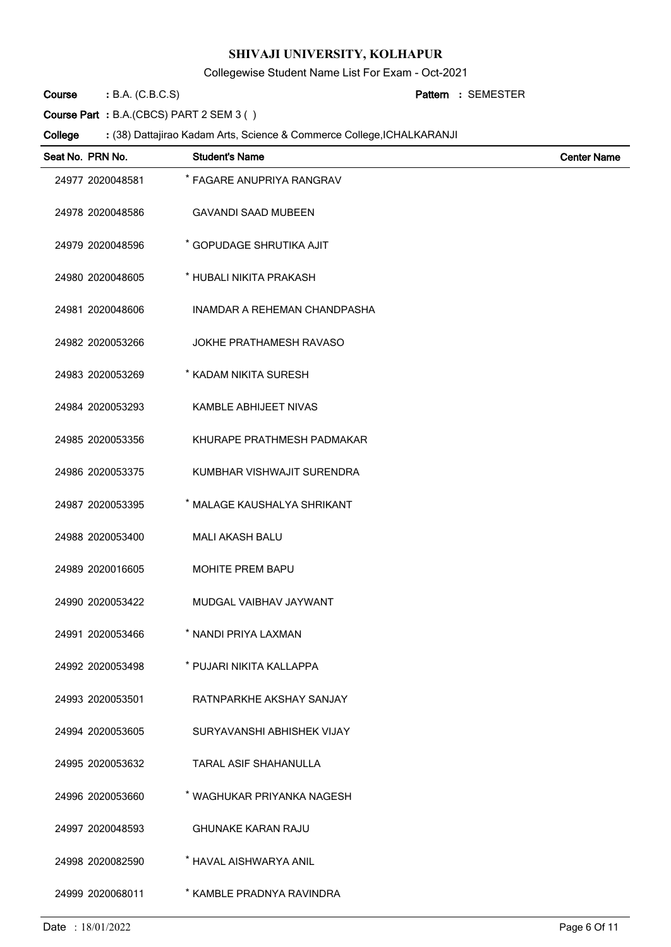Collegewise Student Name List For Exam - Oct-2021

B.A. (C.B.C.S) **: Pattern Course**

SEMESTER **:**

**Course Part :** B.A.(CBCS) PART 2 SEM 3 ( )

| Seat No. PRN No. | <b>Student's Name</b>               | <b>Center Name</b> |
|------------------|-------------------------------------|--------------------|
| 24977 2020048581 | * FAGARE ANUPRIYA RANGRAV           |                    |
| 24978 2020048586 | <b>GAVANDI SAAD MUBEEN</b>          |                    |
| 24979 2020048596 | * GOPUDAGE SHRUTIKA AJIT            |                    |
| 24980 2020048605 | * HUBALI NIKITA PRAKASH             |                    |
| 24981 2020048606 | <b>INAMDAR A REHEMAN CHANDPASHA</b> |                    |
| 24982 2020053266 | <b>JOKHE PRATHAMESH RAVASO</b>      |                    |
| 24983 2020053269 | * KADAM NIKITA SURESH               |                    |
| 24984 2020053293 | KAMBLE ABHIJEET NIVAS               |                    |
| 24985 2020053356 | KHURAPE PRATHMESH PADMAKAR          |                    |
| 24986 2020053375 | KUMBHAR VISHWAJIT SURENDRA          |                    |
| 24987 2020053395 | * MALAGE KAUSHALYA SHRIKANT         |                    |
| 24988 2020053400 | <b>MALI AKASH BALU</b>              |                    |
| 24989 2020016605 | <b>MOHITE PREM BAPU</b>             |                    |
| 24990 2020053422 | MUDGAL VAIBHAV JAYWANT              |                    |
| 24991 2020053466 | * NANDI PRIYA LAXMAN                |                    |
| 24992 2020053498 | * PUJARI NIKITA KALLAPPA            |                    |
| 24993 2020053501 | RATNPARKHE AKSHAY SANJAY            |                    |
| 24994 2020053605 | SURYAVANSHI ABHISHEK VIJAY          |                    |
| 24995 2020053632 | TARAL ASIF SHAHANULLA               |                    |
| 24996 2020053660 | * WAGHUKAR PRIYANKA NAGESH          |                    |
| 24997 2020048593 | <b>GHUNAKE KARAN RAJU</b>           |                    |
| 24998 2020082590 | * HAVAL AISHWARYA ANIL              |                    |
| 24999 2020068011 | * KAMBLE PRADNYA RAVINDRA           |                    |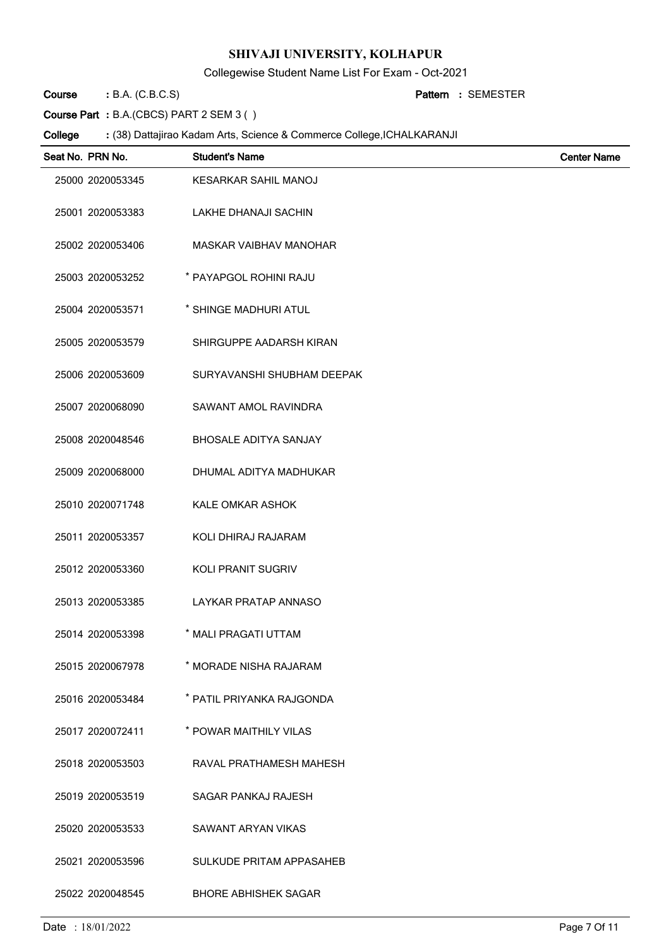Collegewise Student Name List For Exam - Oct-2021

B.A. (C.B.C.S) **: Pattern Course**

SEMESTER **:**

**Course Part :** B.A.(CBCS) PART 2 SEM 3 ( )

| Seat No. PRN No. | <b>Student's Name</b>         | <b>Center Name</b> |
|------------------|-------------------------------|--------------------|
| 25000 2020053345 | <b>KESARKAR SAHIL MANOJ</b>   |                    |
| 25001 2020053383 | LAKHE DHANAJI SACHIN          |                    |
| 25002 2020053406 | <b>MASKAR VAIBHAV MANOHAR</b> |                    |
| 25003 2020053252 | * PAYAPGOL ROHINI RAJU        |                    |
| 25004 2020053571 | * SHINGE MADHURI ATUL         |                    |
| 25005 2020053579 | SHIRGUPPE AADARSH KIRAN       |                    |
| 25006 2020053609 | SURYAVANSHI SHUBHAM DEEPAK    |                    |
| 25007 2020068090 | <b>SAWANT AMOL RAVINDRA</b>   |                    |
| 25008 2020048546 | <b>BHOSALE ADITYA SANJAY</b>  |                    |
| 25009 2020068000 | DHUMAL ADITYA MADHUKAR        |                    |
| 25010 2020071748 | <b>KALE OMKAR ASHOK</b>       |                    |
| 25011 2020053357 | KOLI DHIRAJ RAJARAM           |                    |
| 25012 2020053360 | KOLI PRANIT SUGRIV            |                    |
| 25013 2020053385 | LAYKAR PRATAP ANNASO          |                    |
| 25014 2020053398 | * MALI PRAGATI UTTAM          |                    |
| 25015 2020067978 | * MORADE NISHA RAJARAM        |                    |
| 25016 2020053484 | * PATIL PRIYANKA RAJGONDA     |                    |
| 25017 2020072411 | * POWAR MAITHILY VILAS        |                    |
| 25018 2020053503 | RAVAL PRATHAMESH MAHESH       |                    |
| 25019 2020053519 | SAGAR PANKAJ RAJESH           |                    |
| 25020 2020053533 | SAWANT ARYAN VIKAS            |                    |
| 25021 2020053596 | SULKUDE PRITAM APPASAHEB      |                    |
| 25022 2020048545 | <b>BHORE ABHISHEK SAGAR</b>   |                    |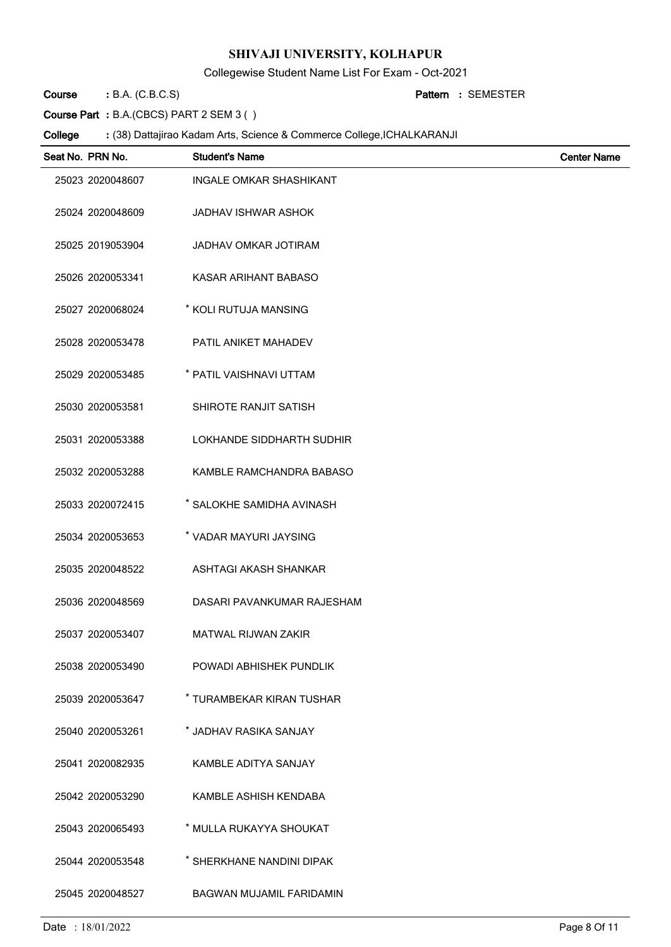Collegewise Student Name List For Exam - Oct-2021

B.A. (C.B.C.S) **: Pattern Course**

SEMESTER **:**

**Course Part :** B.A.(CBCS) PART 2 SEM 3 ( )

| Seat No. PRN No. | <b>Student's Name</b>           | <b>Center Name</b> |
|------------------|---------------------------------|--------------------|
| 25023 2020048607 | <b>INGALE OMKAR SHASHIKANT</b>  |                    |
| 25024 2020048609 | <b>JADHAV ISHWAR ASHOK</b>      |                    |
| 25025 2019053904 | JADHAV OMKAR JOTIRAM            |                    |
| 25026 2020053341 | KASAR ARIHANT BABASO            |                    |
| 25027 2020068024 | * KOLI RUTUJA MANSING           |                    |
| 25028 2020053478 | PATIL ANIKET MAHADEV            |                    |
| 25029 2020053485 | * PATIL VAISHNAVI UTTAM         |                    |
| 25030 2020053581 | SHIROTE RANJIT SATISH           |                    |
| 25031 2020053388 | LOKHANDE SIDDHARTH SUDHIR       |                    |
| 25032 2020053288 | KAMBLE RAMCHANDRA BABASO        |                    |
| 25033 2020072415 | * SALOKHE SAMIDHA AVINASH       |                    |
| 25034 2020053653 | * VADAR MAYURI JAYSING          |                    |
| 25035 2020048522 | ASHTAGI AKASH SHANKAR           |                    |
| 25036 2020048569 | DASARI PAVANKUMAR RAJESHAM      |                    |
| 25037 2020053407 | <b>MATWAL RIJWAN ZAKIR</b>      |                    |
| 25038 2020053490 | POWADI ABHISHEK PUNDLIK         |                    |
| 25039 2020053647 | * TURAMBEKAR KIRAN TUSHAR       |                    |
| 25040 2020053261 | * JADHAV RASIKA SANJAY          |                    |
| 25041 2020082935 | KAMBLE ADITYA SANJAY            |                    |
| 25042 2020053290 | KAMBLE ASHISH KENDABA           |                    |
| 25043 2020065493 | * MULLA RUKAYYA SHOUKAT         |                    |
| 25044 2020053548 | * SHERKHANE NANDINI DIPAK       |                    |
| 25045 2020048527 | <b>BAGWAN MUJAMIL FARIDAMIN</b> |                    |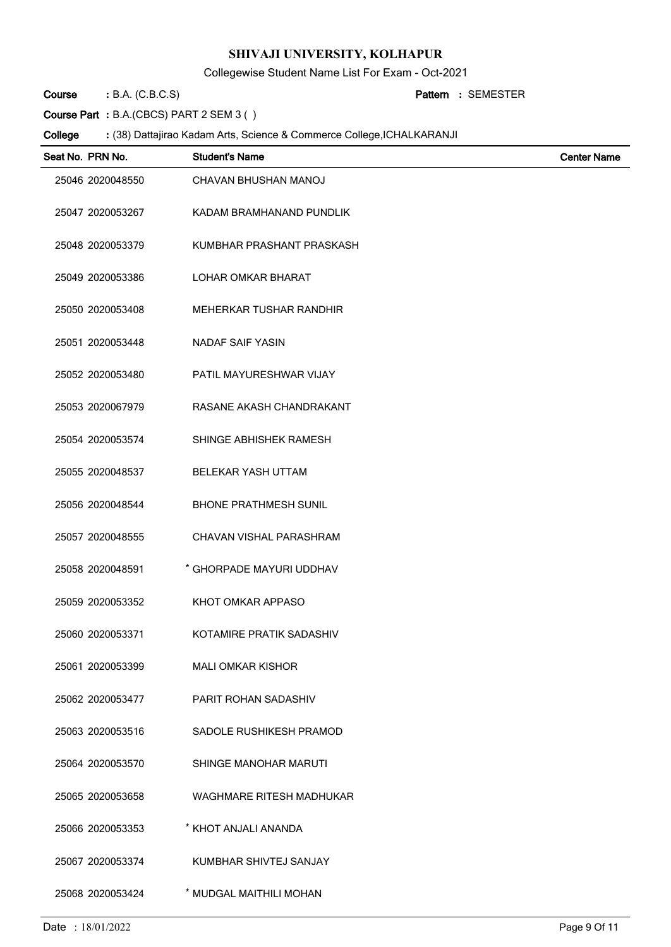Collegewise Student Name List For Exam - Oct-2021

B.A. (C.B.C.S) **: Pattern Course**

SEMESTER **:**

**Course Part :** B.A.(CBCS) PART 2 SEM 3 ( )

| Seat No. PRN No. | <b>Student's Name</b>        | <b>Center Name</b> |
|------------------|------------------------------|--------------------|
| 25046 2020048550 | CHAVAN BHUSHAN MANOJ         |                    |
| 25047 2020053267 | KADAM BRAMHANAND PUNDLIK     |                    |
| 25048 2020053379 | KUMBHAR PRASHANT PRASKASH    |                    |
| 25049 2020053386 | LOHAR OMKAR BHARAT           |                    |
| 25050 2020053408 | MEHERKAR TUSHAR RANDHIR      |                    |
| 25051 2020053448 | <b>NADAF SAIF YASIN</b>      |                    |
| 25052 2020053480 | PATIL MAYURESHWAR VIJAY      |                    |
| 25053 2020067979 | RASANE AKASH CHANDRAKANT     |                    |
| 25054 2020053574 | SHINGE ABHISHEK RAMESH       |                    |
| 25055 2020048537 | <b>BELEKAR YASH UTTAM</b>    |                    |
| 25056 2020048544 | <b>BHONE PRATHMESH SUNIL</b> |                    |
| 25057 2020048555 | CHAVAN VISHAL PARASHRAM      |                    |
| 25058 2020048591 | * GHORPADE MAYURI UDDHAV     |                    |
| 25059 2020053352 | KHOT OMKAR APPASO            |                    |
| 25060 2020053371 | KOTAMIRE PRATIK SADASHIV     |                    |
| 25061 2020053399 | <b>MALI OMKAR KISHOR</b>     |                    |
| 25062 2020053477 | PARIT ROHAN SADASHIV         |                    |
| 25063 2020053516 | SADOLE RUSHIKESH PRAMOD      |                    |
| 25064 2020053570 | SHINGE MANOHAR MARUTI        |                    |
| 25065 2020053658 | WAGHMARE RITESH MADHUKAR     |                    |
| 25066 2020053353 | * KHOT ANJALI ANANDA         |                    |
| 25067 2020053374 | KUMBHAR SHIVTEJ SANJAY       |                    |
| 25068 2020053424 | * MUDGAL MAITHILI MOHAN      |                    |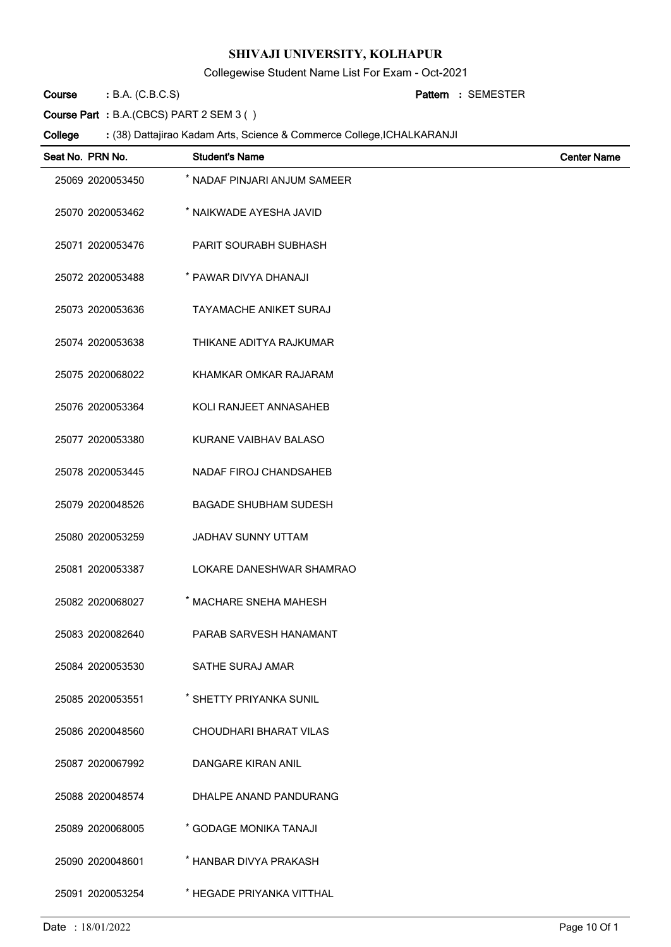Collegewise Student Name List For Exam - Oct-2021

B.A. (C.B.C.S) **: Pattern Course**

SEMESTER **:**

**Course Part :** B.A.(CBCS) PART 2 SEM 3 ( )

| Seat No. PRN No. | <b>Student's Name</b>         | <b>Center Name</b> |
|------------------|-------------------------------|--------------------|
| 25069 2020053450 | * NADAF PINJARI ANJUM SAMEER  |                    |
| 25070 2020053462 | * NAIKWADE AYESHA JAVID       |                    |
| 25071 2020053476 | PARIT SOURABH SUBHASH         |                    |
| 25072 2020053488 | * PAWAR DIVYA DHANAJI         |                    |
| 25073 2020053636 | <b>TAYAMACHE ANIKET SURAJ</b> |                    |
| 25074 2020053638 | THIKANE ADITYA RAJKUMAR       |                    |
| 25075 2020068022 | KHAMKAR OMKAR RAJARAM         |                    |
| 25076 2020053364 | KOLI RANJEET ANNASAHEB        |                    |
| 25077 2020053380 | KURANE VAIBHAV BALASO         |                    |
| 25078 2020053445 | NADAF FIROJ CHANDSAHEB        |                    |
| 25079 2020048526 | <b>BAGADE SHUBHAM SUDESH</b>  |                    |
| 25080 2020053259 | <b>JADHAV SUNNY UTTAM</b>     |                    |
| 25081 2020053387 | LOKARE DANESHWAR SHAMRAO      |                    |
| 25082 2020068027 | * MACHARE SNEHA MAHESH        |                    |
| 25083 2020082640 | PARAB SARVESH HANAMANT        |                    |
| 25084 2020053530 | <b>SATHE SURAJ AMAR</b>       |                    |
| 25085 2020053551 | * SHETTY PRIYANKA SUNIL       |                    |
| 25086 2020048560 | CHOUDHARI BHARAT VILAS        |                    |
| 25087 2020067992 | DANGARE KIRAN ANIL            |                    |
| 25088 2020048574 | DHALPE ANAND PANDURANG        |                    |
| 25089 2020068005 | * GODAGE MONIKA TANAJI        |                    |
| 25090 2020048601 | * HANBAR DIVYA PRAKASH        |                    |
| 25091 2020053254 | * HEGADE PRIYANKA VITTHAL     |                    |